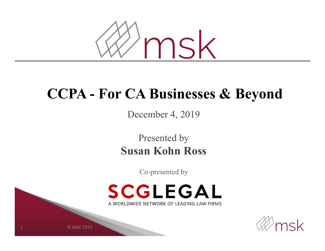

#### **CCPA - For CA Businesses & Beyond**

December 4, 2019

Presented by **Susan Kohn Ross**

Co-presented by





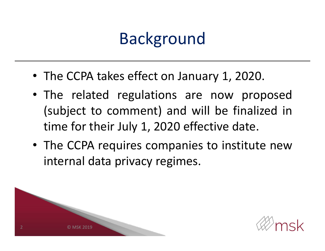# Background

- The CCPA takes effect on January 1, 2020.
- The related regulations are now proposed (subject to comment) and will be finalized in time for their July 1, 2020 effective date.
- The CCPA requires companies to institute new internal data privacy regimes.



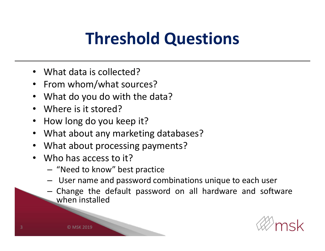# **Threshold Questions**

- •What data is collected?
- From whom/what sources?
- •What do you do with the data?
- •Where is it stored?
- •How long do you keep it?
- •What about any marketing databases?
- •What about processing payments?
- • Who has access to it?
	- $-$  "Need to know" best practice
	- –User name and password combinations unique to each user
	- Change the default password on all hardware and software when installed

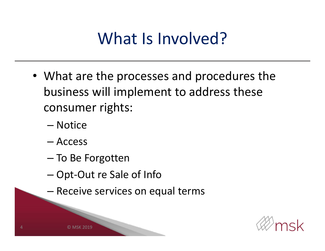# What Is Involved?

- What are the processes and procedures the business will implement to address these consumer rights:
	- Notice
	- Access
	- To Be Forgotten
	- –Opt-Out re Sale of Info
	- –Receive services on equal terms



SK 2019

4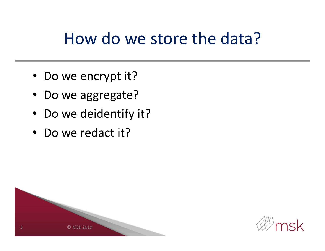#### How do we store the data?

- Do we encrypt it?
- Do we aggregate?
- Do we deidentify it?
- Do we redact it?



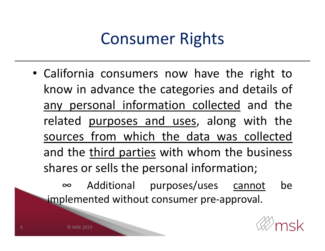## Consumer Rights

• California consumers now have the right to know in advance the categories and details of any personal information collected and the related purposes and uses, along with the sources from which the data was collected and the third parties with whom the business shares or sells the personal information;

∞ Additional purposes/uses cannot be implemented without consumer pre-approval.



SK 2019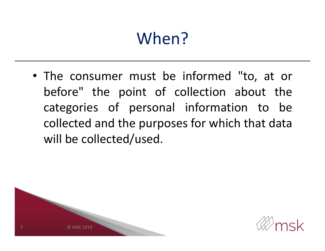# When?

• The consumer must be informed "to, at or before" the point of collection about the categories of personal information to be collected and the purposes for which that data will be collected/used.



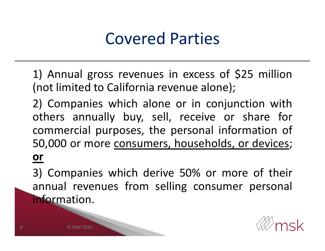#### Covered Parties

- 1) Annual gross revenues in excess of \$25 million (not limited to California revenue alone);
- 2) Companies which alone or in conjunction with others annually buy, sell, receive or share for commercial purposes, the personal information of 50,000 or more consumers, households, or devices; **or**
- 3) Companies which derive 50% or more of their annual revenues from selling consumer personal information.

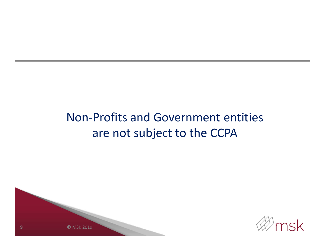#### Non-Profits and Government entities are not subject to the CCPA



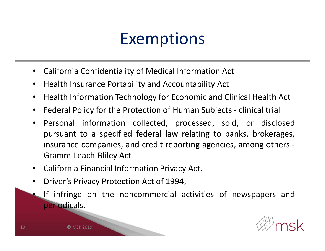#### Exemptions

- $\bullet$ California Confidentiality of Medical Information Act
- $\bullet$ Health Insurance Portability and Accountability Act
- $\bullet$ Health Information Technology for Economic and Clinical Health Act
- $\bullet$ Federal Policy for the Protection of Human Subjects - clinical trial
- • Personal information collected, processed, sold, or disclosed pursuant to <sup>a</sup> specified federal law relating to banks, brokerages, insurance companies, and credit reporting agencies, among others - Gramm-Leach-Bliley Act
- •California Financial Information Privacy Act.
- • Driver's Privacy Protection Act of 1994,
	- If infringe on the noncommercial activities of newspapers and periodicals.



© MSK 2019

•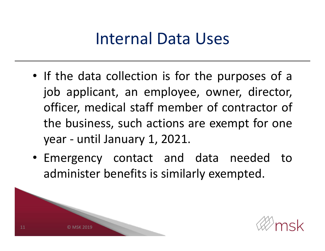#### Internal Data Uses

- If the data collection is for the purposes of <sup>a</sup> job applicant, an employee, owner, director, officer, medical staff member of contractor of the business, such actions are exempt for one year - until January 1, 2021.
- Emergency contact and data needed to administer benefits is similarly exempted.



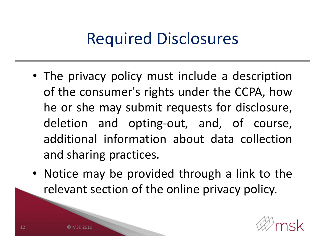## Required Disclosures

- The privacy policy must include <sup>a</sup> description of the consumer's rights under the CCPA, how he or she may submit requests for disclosure, deletion and opting-out, and, of course, additional information about data collection and sharing practices.
- Notice may be provided through <sup>a</sup> link to the relevant section of the online privacy policy.

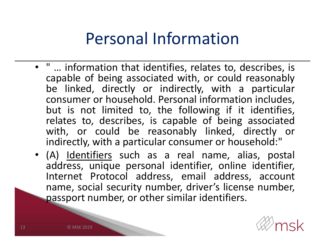#### Personal Information

- " … information that identifies, relates to, describes, is capable of being associated with, or could reasonably be linked, directly or indirectly, with <sup>a</sup> particular consumer or household. Personal information includes, but is not limited to, the following if it identifies, relates to, describes, is capable of being associated with, or could be reasonably linked, directly or indirectly, with <sup>a</sup> particular consumer or household:"
- (A) Identifiers such as a real name, alias, postal address, unique personal identifier, online identifier, Internet Protocol address, email address, account name, social security number, driver's license number, passport number, or other similar identifiers.

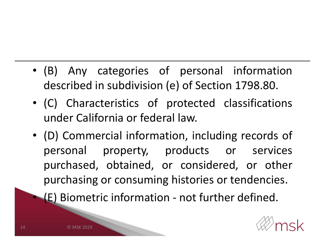- (B) Any categories of personal information described in subdivision (e) of Section 1798.80.
- (C) Characteristics of protected classifications under California or federal law.
- (D) Commercial information, including records of personal property, products or services purchased, obtained, or considered, or other purchasing or consuming histories or tendencies.

(E) Biometric information - not further defined.



© MSK 2019

•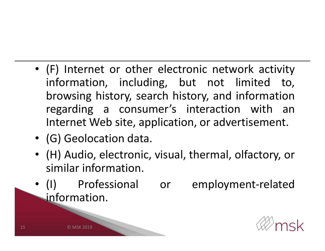- (F) Internet or other electronic network activity information, including, but not limited to, browsing history, search history, and information regarding <sup>a</sup> consumer's interaction with an Internet Web site, application, or advertisement.
- (G) Geolocation data.
- (H) Audio, electronic, visual, thermal, olfactory, or similar information.
- $\bullet$  (1) (I) Professional or employment-related information.

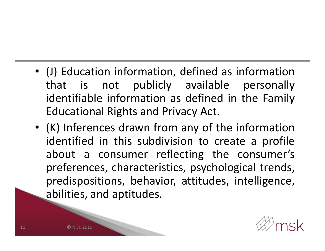- (J) Education information, defined as information that is not publicly available personally identifiable information as defined in the Family Educational Rights and Privacy Act.
- (K) Inferences drawn from any of the information identified in this subdivision to create <sup>a</sup> profile about <sup>a</sup> consumer reflecting the consumer's preferences, characteristics, psychological trends, predispositions, behavior, attitudes, intelligence, abilities, and aptitudes.

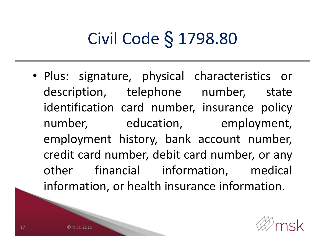# Civil Code § 1798.80

• Plus: signature, physical characteristics or description, telephone number, state identification card number, insurance policy number, education, employment, employment history, bank account number, credit card number, debit card number, or any other financial information, medical information, or health insurance information.

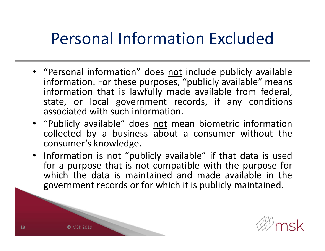## Personal Information Excluded

- "Personal information" does not include publicly available information. For these purposes, "publicly available" means information that is lawfully made available from federal, state, or local government records, if any conditions associated with such information.
- "Publicly available" does not mean biometric information collected by <sup>a</sup> business about <sup>a</sup> consumer without the consumer's knowledge.
- Information is not "publicly available" if that data is used for <sup>a</sup> purpose that is not compatible with the purpose for which the data is maintained and made available in the government records or for which it is publicly maintained.

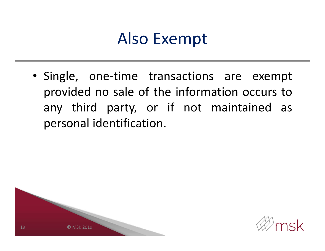#### Also Exempt

• Single, one-time transactions are exempt provided no sale of the information occurs to any third party, or if not maintained as personal identification.



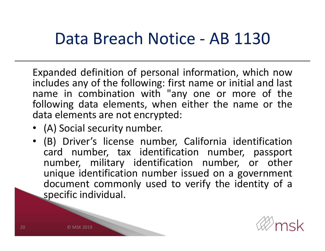#### Data Breach Notice - AB 1130

Expanded definition of personal information, which now includes any of the following: first name or initial and last name in combination with "any one or more of the following data elements, when either the name or the data elements are not encrypted:

- (A) Social security number.
- (B) Driver's license number, California identification card number, tax identification number, passport number, military identification number, or other unique identification number issued on <sup>a</sup> government document commonly used to verify the identity of <sup>a</sup> specific individual.

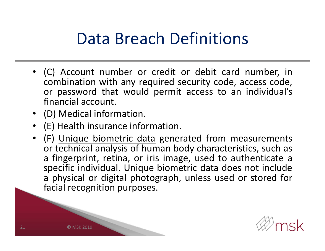#### Data Breach Definitions

- (C) Account number or credit or debit card number, in combination with any required security code, access code, or password that would permit access to an individual's financial account.
- (D) Medical information.
- (E) Health insurance information.
- (F) Unique biometric data generated from measurements or technical analysis of human body characteristics, such as <sup>a</sup> fingerprint, retina, or iris image, used to authenticate <sup>a</sup> specific individual. Unique biometric data does not include <sup>a</sup> physical or digital photograph, unless used or stored for facial recognition purposes.

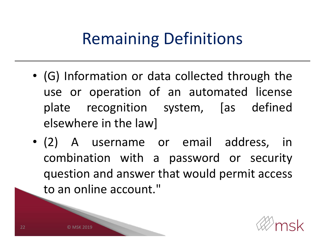# Remaining Definitions

- (G) Information or data collected through the use or operation of an automated license plate recognition system, [as defined elsewhere in the law]
- (2) A username or email address, in combination with <sup>a</sup> password or security question and answer that would permit access to an online account."

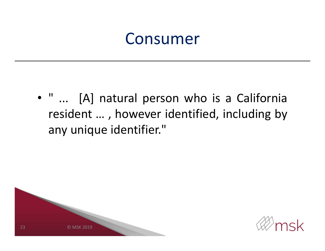#### Consumer

• " ... [A] natural person who is <sup>a</sup> California resident … , however identified, including by any unique identifier."



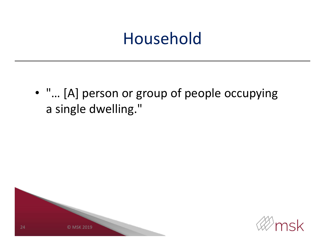#### Household

• "… [A] person or group of people occupying a single dwelling."



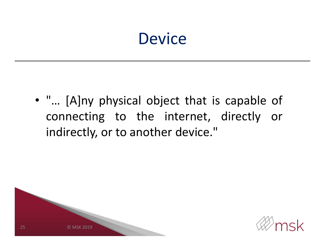#### **Device**

• "… [A]ny physical object that is capable of connecting to the internet, directly or indirectly, or to another device."



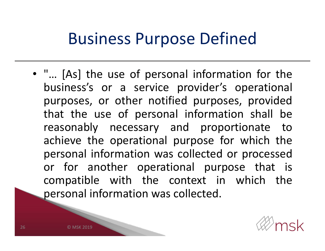#### Business Purpose Defined

• "… [As] the use of personal information for the business's or <sup>a</sup> service provider's operational purposes, or other notified purposes, provided that the use of personal information shall be reasonably necessary and proportionate to achieve the operational purpose for which the personal information was collected or processed or for another operational purpose that is compatible with the context in which the personal information was collected.

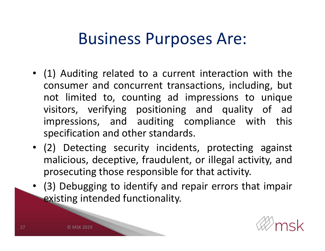#### Business Purposes Are:

- (1) Auditing related to <sup>a</sup> current interaction with the consumer and concurrent transactions, including, but not limited to, counting ad impressions to unique visitors, verifying positioning and quality of ad impressions, and auditing compliance with this specification and other standards.
- (2) Detecting security incidents, protecting against malicious, deceptive, fraudulent, or illegal activity, and prosecuting those responsible for that activity.
- (3) Debugging to identify and repair errors that impair existing intended functionality.

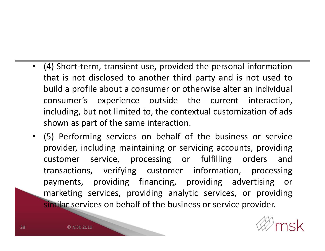- (4) Short-term, transient use, provided the personal information that is not disclosed to another third party and is not used to build <sup>a</sup> profile about <sup>a</sup> consumer or otherwise alter an individual consumer's experience outside the current interaction, including, but not limited to, the contextual customization of ads shown as part of the same interaction.
- (5) Performing services on behalf of the business or service provider, including maintaining or servicing accounts, providing customer service, processing or fulfilling orders and transactions, verifying customer information, processing payments, providing financing, providing advertising or marketing services, providing analytic services, or providing similar services on behalf of the business or service provider.

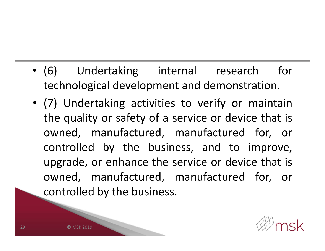- (6) Undertaking internal research for technological development and demonstration.
- (7) Undertaking activities to verify or maintain the quality or safety of <sup>a</sup> service or device that is owned, manufactured, manufactured for, or controlled by the business, and to improve, upgrade, or enhance the service or device that is owned, manufactured, manufactured for, or controlled by the business.

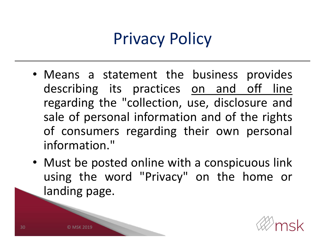# Privacy Policy

- Means <sup>a</sup> statement the business provides describing its practices on and off line regarding the "collection, use, disclosure and sale of personal information and of the rights of consumers regarding their own personal information."
- Must be posted online with <sup>a</sup> conspicuous link using the word "Privacy" on the home or landing page.

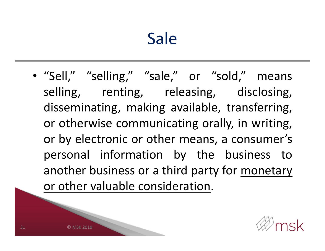## Sale

• "Sell," "selling," "sale," or "sold," means selling, renting, releasing, disclosing, disseminating, making available, transferring, or otherwise communicating orally, in writing, or by electronic or other means, <sup>a</sup> consumer's personal information by the business to another business or <sup>a</sup> third party for monetary or other valuable consideration.

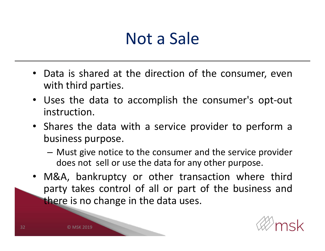#### Not a Sale

- Data is shared at the direction of the consumer, even with third parties.
- Uses the data to accomplish the consumer's opt-out instruction.
- Shares the data with <sup>a</sup> service provider to perform <sup>a</sup> business purpose.
	- Must give notice to the consumer and the service provider does not sell or use the data for any other purpose.
- M&A, bankruptcy or other transaction where third party takes control of all or part of the business and there is no change in the data uses.

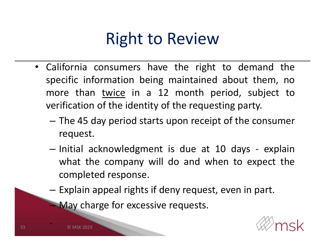## Right to Review

- California consumers have the right to demand the specific information being maintained about them, no more than twice in <sup>a</sup> 12 month period, subject to verification of the identity of the requesting party.
	- The 45 day period starts upon receipt of the consumer request.
	- – $-$  Initial acknowledgment is due at 10 days - explain what the company will do and when to expect the completed response.
	- – $-$  Explain appeal rights if deny request, even in part.
		- **May charge for excessive requests.**



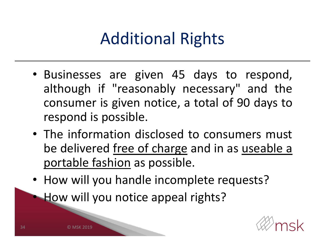# Additional Rights

- Businesses are given 45 days to respond, although if "reasonably necessary" and the consumer is given notice, <sup>a</sup> total of 90 days to respond is possible.
- The information disclosed to consumers must be delivered free of charge and in as useable <sup>a</sup> portable fashion as possible.
- How will you handle incomplete requests?

How will you notice appeal rights?



© MSK 2019

•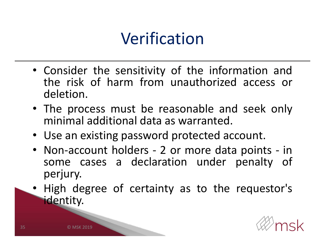## Verification

- Consider the sensitivity of the information and the risk of harm from unauthorized access or deletion.
- The process must be reasonable and seek only minimal additional data as warranted.
- Use an existing password protected account.
- Non-account holders 2 or more data points in some cases <sup>a</sup> declaration under penalty of perjury.
- • High degree of certainty as to the requestor's identity.

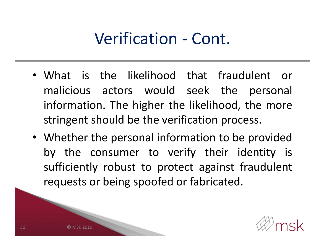#### Verification - Cont.

- What is the likelihood that fraudulent or malicious actors would seek the personal information. The higher the likelihood, the more stringent should be the verification process.
- Whether the personal information to be provided by the consumer to verify their identity is sufficiently robust to protect against fraudulent requests or being spoofed or fabricated.



SK 2019

36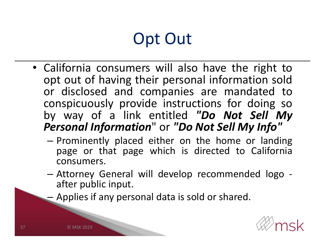# Opt Out

- California consumers will also have the right to opt out of having their personal information sold or disclosed and companies are mandated to conspicuously provide instructions for doing so by way of <sup>a</sup> link entitled *"Do Not Sell My Personal Information*" or *"Do Not Sell My Info"*
	- – $-$  Prominently placed either on the home or landing page or that page which is directed to California consumers.
	- – Attorney General will develop recommended logo after public input.
	- –Applies if any personal data is sold or shared.

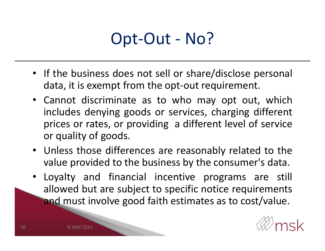#### Opt-Out - No?

- If the business does not sell or share/disclose personal data, it is exempt from the opt-out requirement.
- Cannot discriminate as to who may opt out, which includes denying goods or services, charging different prices or rates, or providing <sup>a</sup> different level of service or quality of goods.
- Unless those differences are reasonably related to the value provided to the business by the consumer's data.
- Loyalty and financial incentive programs are still allowed but are subject to specific notice requirements and must involve good faith estimates as to cost/value.

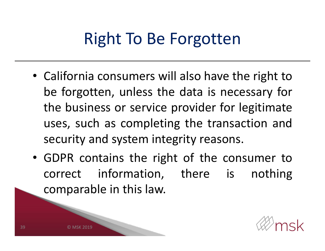## Right To Be Forgotten

- California consumers will also have the right to be forgotten, unless the data is necessary for the business or service provider for legitimate uses, such as completing the transaction and security and system integrity reasons.
- GDPR contains the right of the consumer to correct information, there is nothing comparable in this law.



SK 2019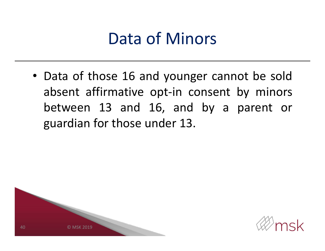#### Data of Minors

• Data of those 16 and younger cannot be sold absent affirmative opt-in consent by minors between 13 and 16, and by <sup>a</sup> parent or guardian for those under 13.



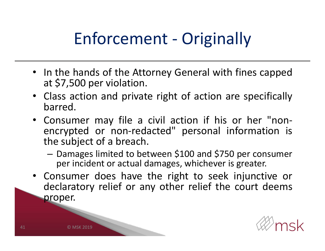# Enforcement - Originally

- In the hands of the Attorney General with fines capped at \$7,500 per violation.
- Class action and private right of action are specifically barred.
- Consumer may file <sup>a</sup> civil action if his or her "nonencrypted or non-redacted" personal information is the subject of <sup>a</sup> breach.
	- Damages limited to between \$100 and \$750 per consumer per incident or actual damages, whichever is greater.
- Consumer does have the right to seek injunctive or declaratory relief or any other relief the court deems proper.

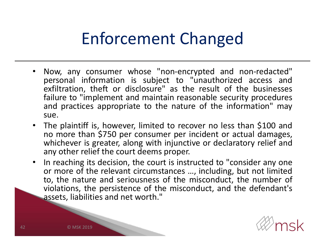## Enforcement Changed

- • Now, any consumer whose "non-encrypted and non-redacted" personal information is subject to "unauthorized access and exfiltration, theft or disclosure" as the result of the businesses failure to "implement and maintain reasonable security procedures and practices appropriate to the nature of the information" may sue.
- The plaintiff is, however, limited to recover no less than \$100 and no more than \$750 per consumer per incident or actual damages, whichever is greater, along with injunctive or declaratory relief and any other relief the court deems proper.
- • In reaching its decision, the court is instructed to "consider any one or more of the relevant circumstances …, including, but not limited to, the nature and seriousness of the misconduct, the number of violations, the persistence of the misconduct, and the defendant's assets, liabilities and net worth."

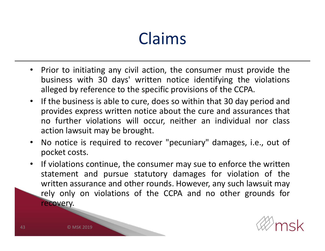## Claims

- $\bullet$  Prior to initiating any civil action, the consumer must provide the business with 30 days' written notice identifying the violations alleged by reference to the specific provisions of the CCPA.
- If the business is able to cure, does so within that 30 day period and provides express written notice about the cure and assurances that no further violations will occur, neither an individual nor class action lawsuit may be brought.
- $\bullet$  No notice is required to recover "pecuniary" damages, i.e., out of pocket costs.
- • If violations continue, the consumer may sue to enforce the written statement and pursue statutory damages for violation of the written assurance and other rounds. However, any such lawsuit may rely only on violations of the CCPA and no other grounds for recovery.



© MSK 2019

43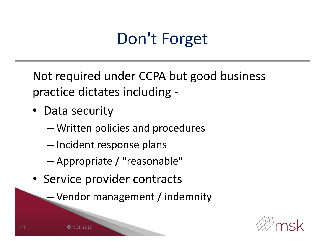# Don't Forget

Not required under CCPA but good business practice dictates including -

- Data security
	- –Written policies and procedures
	- – $-$  Incident response plans
	- –Appropriate / "reasonable"
- Service provider contracts
	- –Vendor management / indemnity

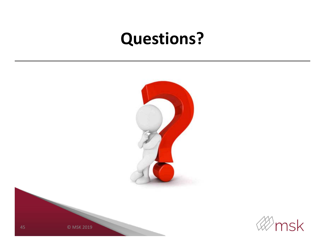#### **Questions?**